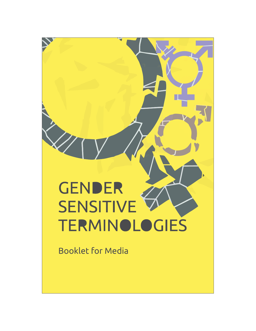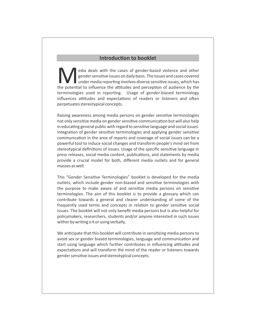# **Introduction to booklet**

edia deals with the cases of gender-based violence and other gender sensitive issues on daily basis. The issues and cases covered under media reporting involves diverse sensitive issues, which has the potential to influenc under media reporting involves diverse sensitive issues, which has terminologies used in reporting. Usage of gender-biased terminology influences attitudes and expectations of readers or listeners and often perpetuates stereotypical concepts.

Raising awareness among media persons on gender sensitive terminologies not only sensitize media on gender sensitive communication but will also help in educating general public with regard to sensitive language and social issues. Integration of gender sensitive terminologies and applying gender sensitive communication in the area of reports and coverage of social issues can be a powerful tool to induce social changes and transform people's mind set from stereotypical definitions of issues. Usage of the specific sensitive language in press releases, social media content, publications, and statements by media provide a crucial model for both, different media outlets and for general masses as well.

This "Gender Sensitive Terminologies" booklet is developed for the media outlets, which include gender non-biased and sensitive terminologies with the purpose to make aware of and sensitize media persons on sensitive terminologies. The aim of this booklet is to provide a glossary which can contribute towards a general and clearer understanding of some of the frequently used terms and concepts in relation to gender sensitive social issues. The booklet will not only benefit media persons but is also helpful for policymakers, researchers, students and/or anyone interested in such issues wither by writing o it or using verbally.

We anticipate that this booklet will contribute in sensitizing media persons to avoid sex or gender biased terminologies, language and communication and start using language which further contributes in influencing attitudes and expectations and will transform the mind of the reader or listeners towards gender sensitive issues and stereotypical concepts.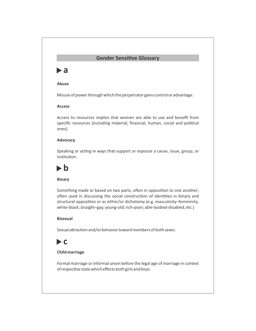# **Gender Sensitive Glossary**

# **a**

# **Abuse**

Misuse of power through which the perpetrator gains control or advantage.

# **Access**

Access to resources implies that women are able to use and benefit from specific resources (including material, financial, human, social and political ones).

# **Advocacy**

Speaking or acting in ways that support or espouse a cause, issue, group, or institution.

# **b**

# **Binary**

Something made or based on two parts, often in opposition to one another; often used in discussing the social construction of identities in binary and structural opposition or as either/or dichotomy (e.g. masculinity-femininity; white-black; straight–gay; young-old; rich-poor; able-bodied-disabled, etc.)

# **Bisexual**

Sexual attraction and/or behavior toward members of both sexes.

# **c**

# **Child marriage**

Formal marriage or informal union before the legal age of marriage in context of respective state which effects both girls and boys.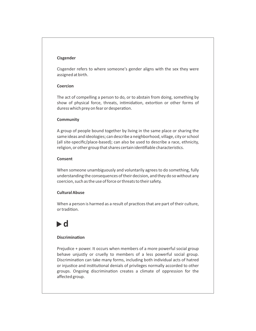#### **Cisgender**

Cisgender refers to where someone's gender aligns with the sex they were assigned at birth.

# **Coercion**

The act of compelling a person to do, or to abstain from doing, something by show of physical force, threats, intimidation, extortion or other forms of duress which prey on fear or desperation.

# **Community**

A group of people bound together by living in the same place or sharing the same ideas and ideologies; can describe a neighborhood, village, city or school (all site-specific/place-based); can also be used to describe a race, ethnicity, religion, or other group that shares certain identifiable characteristics.

# **Consent**

When someone unambiguously and voluntarily agrees to do something, fully understanding the consequences of their decision, and they do so without any coercion, such as the use of force or threats to their safety.

# **Cultural Abuse**

When a person is harmed as a result of practices that are part of their culture, or tradition.

# **d**

# **Discrimination**

Prejudice + power. It occurs when members of a more powerful social group behave unjustly or cruelly to members of a less powerful social group. Discrimination can take many forms, including both individual acts of hatred or injustice and institutional denials of privileges normally accorded to other groups. Ongoing discrimination creates a climate of oppression for the affected group.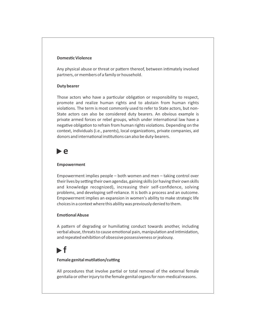# **Domestic Violence**

Any physical abuse or threat or pattern thereof, between intimately involved partners, or members of a family or household.

#### **Duty bearer**

Those actors who have a particular obligation or responsibility to respect, promote and realize human rights and to abstain from human rights violations. The term is most commonly used to refer to State actors, but non-State actors can also be considered duty bearers. An obvious example is private armed forces or rebel groups, which under international law have a negative obligation to refrain from human rights violations. Depending on the context, individuals (i.e., parents), local organizations, private companies, aid donors and international institutions can also be duty-bearers.

# **e**

#### **Empowerment**

Empowerment implies people – both women and men – taking control over their lives by setting their own agendas, gaining skills (or having their own skills and knowledge recognized), increasing their self-confidence, solving problems, and developing self-reliance. It is both a process and an outcome. Empowerment implies an expansion in women's ability to make strategic life choices in a context where this ability was previously denied to them.

#### **Emotional Abuse**

A pattern of degrading or humiliating conduct towards another, including verbal abuse, threats to cause emotional pain, manipulation and intimidation, and repeated exhibition of obsessive possessiveness or jealousy.

# **f**

# **Female genital mutilation/cutting**

All procedures that involve partial or total removal of the external female genitalia or other injury to the female genital organs for non-medical reasons.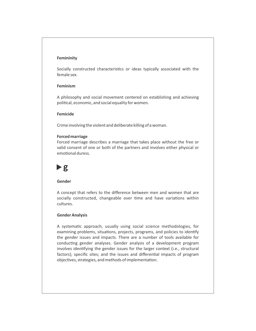#### **Femininity**

Socially constructed characteristics or ideas typically associated with the female sex.

# **Feminism**

A philosophy and social movement centered on establishing and achieving political, economic, and social equality for women.

#### **Femicide**

Crime involving the violent and deliberate killing of a woman.

#### **Forced marriage**

Forced marriage describes a marriage that takes place without the free or valid consent of one or both of the partners and involves either physical or emotional duress.



#### **Gender**

A concept that refers to the difference between men and women that are socially constructed, changeable over time and have variations within cultures.

#### **Gender Analysis**

A systematic approach, usually using social science methodologies, for examining problems, situations, projects, programs, and policies to identify the gender issues and impacts. There are a number of tools available for conducting gender analyses. Gender analysis of a development program involves identifying the gender issues for the larger context (i.e., structural factors); specific sites; and the issues and differential impacts of program objectives, strategies, and methods of implementation.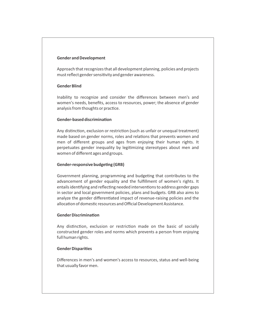#### **Gender and Development**

Approach that recognizes that all development planning, policies and projects must reflect gender sensitivity and gender awareness.

# **Gender Blind**

Inability to recognize and consider the differences between men's and women's needs, benefits, access to resources, power; the absence of gender analysis from thoughts or practice.

# **Gender-based discrimination**

Any distinction, exclusion or restriction (such as unfair or unequal treatment) made based on gender norms, roles and relations that prevents women and men of different groups and ages from enjoying their human rights. It perpetuates gender inequality by legitimizing stereotypes about men and women of different ages and groups.

# **Gender-responsive budgeting (GRB)**

Government planning, programming and budgeting that contributes to the advancement of gender equality and the fulfillment of women's rights. It entails identifying and reflecting needed interventions to address gender gaps in sector and local government policies, plans and budgets. GRB also aims to analyze the gender differentiated impact of revenue-raising policies and the allocation of domestic resources and Official Development Assistance.

# **Gender Discrimination**

Any distinction, exclusion or restriction made on the basic of socially constructed gender roles and norms which prevents a person from enjoying full human rights.

#### **Gender Disparities**

Differences in men's and women's access to resources, status and well-being that usually favor men.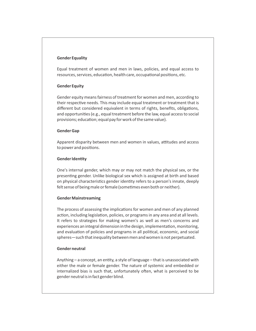#### **Gender Equality**

Equal treatment of women and men in laws, policies, and equal access to resources, services, education, health care, occupational positions, etc.

# **Gender Equity**

Gender equity means fairness of treatment for women and men, according to their respective needs. This may include equal treatment or treatment that is different but considered equivalent in terms of rights, benefits, obligations, and opportunities (e.g., equal treatment before the law, equal access to social provisions; education; equal pay for work of the same value).

# **Gender Gap**

Apparent disparity between men and women in values, attitudes and access to power and positions.

# **Gender Identity**

One's internal gender, which may or may not match the physical sex, or the presenting gender. Unlike biological sex which is assigned at birth and based on physical characteristics gender identity refers to a person's innate, deeply felt sense of being male or female (sometimes even both or neither).

# **Gender Mainstreaming**

The process of assessing the implications for women and men of any planned action, including legislation, policies, or programs in any area and at all levels. It refers to strategies for making women's as well as men's concerns and experiences an integral dimension in the design, implementation, monitoring, and evaluation of policies and programs in all political, economic, and social spheres—such that inequality between men and women is not perpetuated.

# **Gender neutral**

Anything  $-$  a concept, an entity, a style of language  $-$  that is unassociated with either the male or female gender. The nature of systemic and embedded or internalized bias is such that, unfortunately often, what is perceived to be gender neutral is in fact gender blind.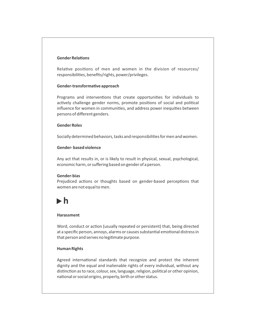# **Gender Relations**

Relative positions of men and women in the division of resources/ responsibilities, benefits/rights, power/privileges.

#### **Gender-transformative approach**

Programs and interventions that create opportunities for individuals to actively challenge gender norms, promote positions of social and political influence for women in communities, and address power inequities between persons of different genders.

#### **Gender Roles**

Socially determined behaviors, tasks and responsibilities for men and women.

#### **Gender- based violence**

Any act that results in, or is likely to result in physical, sexual, psychological, economic harm, or suffering based on gender of a person.

#### **Gender-bias**

Prejudiced actions or thoughts based on gender-based perceptions that women are not equal to men.

# **h**

#### **Harassment**

Word, conduct or action (usually repeated or persistent) that, being directed at a specific person, annoys, alarms or causes substantial emotional distress in that person and serves no legitimate purpose.

### **Human Rights**

Agreed international standards that recognize and protect the inherent dignity and the equal and inalienable rights of every individual, without any distinction as to race, colour, sex, language, religion, political or other opinion, national or social origins, property, birth or other status.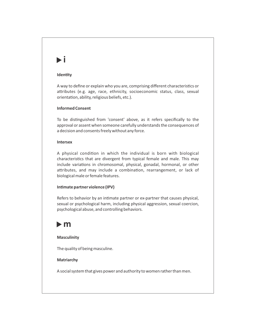# **i**

# **Identy**

A way to define or explain who you are, comprising different characteristics or attributes (e.g. age, race, ethnicity, socioeconomic status, class, sexual orientation, ability, religious beliefs, etc.).

# **Informed Consent**

To be distinguished from 'consent' above, as it refers specifically to the approval or assent when someone carefully understands the consequences of a decision and consents freely without any force.

# **Intersex**

A physical condition in which the individual is born with biological characteristics that are divergent from typical female and male. This may include variations in chromosomal, physical, gonadal, hormonal, or other attributes, and may include a combination, rearrangement, or lack of biological male or female features.

# **Intimate partner violence (IPV)**

Refers to behavior by an intimate partner or ex-partner that causes physical, sexual or psychological harm, including physical aggression, sexual coercion, psychological abuse, and controlling behaviors.

# **m**

# **Masculinity**

The quality of being masculine.

# **Matriarchy**

A social system that gives power and authority to women rather than men.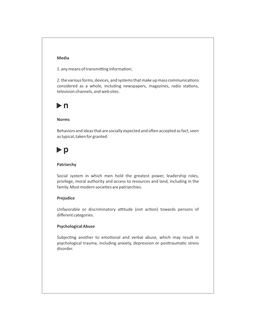# **Media**

1. any means of transmitting information;

2. the various forms, devices, and systems that make up mass communications considered as a whole, including newspapers, magazines, radio stations, television channels, and web sites.

# **n**

#### **Norms**

Behaviors and ideas that are socially expected and often accepted as fact, seen as typical, taken for granted.

# $\blacktriangleright$  p

#### **Patriarchy**

Social system in which men hold the greatest power, leadership roles, privilege, moral authority and access to resources and land, including in the family. Most modern societies are patriarchies.

#### **Prejudice**

Unfavorable or discriminatory attitude (not action) towards persons of different categories.

# **Psychological Abuse**

Subjecting another to emotional and verbal abuse, which may result in psychological trauma, including anxiety, depression or posttraumatic stress disorder.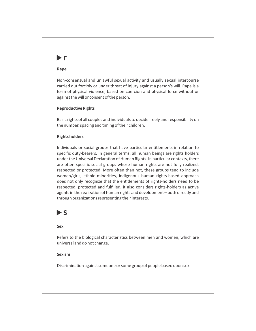# **r**

#### **Rape**

Non-consensual and unlawful sexual activity and usually sexual intercourse carried out forcibly or under threat of injury against a person's will. Rape is a form of physical violence, based on coercion and physical force without or against the will or consent of the person.

#### **Reproductive Rights**

Basic rights of all couples and individuals to decide freely and responsibility on the number, spacing and timing of their children.

# **Rights holders**

Individuals or social groups that have particular entitlements in relation to specific duty-bearers. In general terms, all human beings are rights holders under the Universal Declaration of Human Rights. In particular contexts, there are often specific social groups whose human rights are not fully realized, respected or protected. More often than not, these groups tend to include women/girls, ethnic minorities, indigenous human rights-based approach does not only recognize that the entitlements of rights-holders need to be respected, protected and fulfilled, it also considers rights-holders as active agents in the realization of human rights and development - both directly and through organizations representing their interests.

# **s**

#### **Sex**

Refers to the biological characteristics between men and women, which are universal and do not change.

#### **Sexism**

Discrimination against someone or some group of people based upon sex.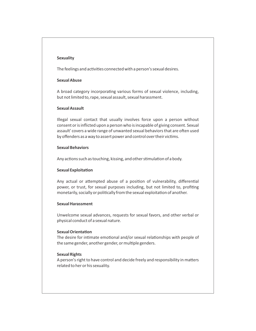#### **Sexuality**

The feelings and activities connected with a person's sexual desires.

#### **Sexual Abuse**

A broad category incorporating various forms of sexual violence, including, but not limited to, rape, sexual assault, sexual harassment.

# **Sexual Assault**

Illegal sexual contact that usually involves force upon a person without consent or is inflicted upon a person who is incapable of giving consent. Sexual assault' covers a wide range of unwanted sexual behaviors that are often used by offenders as a way to assert power and control over their victims.

#### **Sexual Behaviors**

Any actions such as touching, kissing, and other stimulation of a body.

#### **Sexual Exploitation**

Any actual or attempted abuse of a position of vulnerability, differential power, or trust, for sexual purposes including, but not limited to, profiting monetarily, socially or politically from the sexual exploitation of another.

#### **Sexual Harassment**

Unwelcome sexual advances, requests for sexual favors, and other verbal or physical conduct of a sexual nature.

#### **Sexual Orientation**

The desire for intimate emotional and/or sexual relationships with people of the same gender, another gender, or multiple genders.

#### **Sexual Rights**

A person's right to have control and decide freely and responsibility in matters related to her or his sexuality.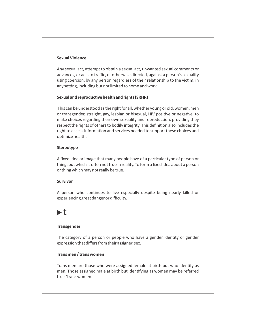# **Sexual Violence**

Any sexual act, attempt to obtain a sexual act, unwanted sexual comments or advances, or acts to traffic, or otherwise directed, against a person's sexuality using coercion, by any person regardless of their relationship to the victim, in any setting, including but not limited to home and work.

#### **Sexual and reproductive health and rights (SRHR)**

This can be understood as the right for all, whether young or old, women, men or transgender, straight, gay, lesbian or bisexual, HIV positive or negative, to make choices regarding their own sexuality and reproduction, providing they respect the rights of others to bodily integrity. This definition also includes the right to access information and services needed to support these choices and optimize health.

#### **Stereotype**

A fixed idea or image that many people have of a particular type of person or thing, but which is often not true in reality. To form a fixed idea about a person or thing which may not really be true.

#### **Survivor**

A person who continues to live especially despite being nearly killed or experiencing great danger or difficulty.

# **t**

#### **Transgender**

The category of a person or people who have a gender identity or gender expression that differs from their assigned sex.

# **Trans men / trans women**

Trans men are those who were assigned female at birth but who identify as men. Those assigned male at birth but identifying as women may be referred to as 'trans women.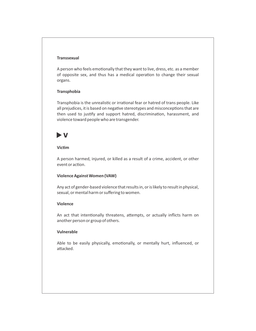# **Transsexual**

A person who feels emotionally that they want to live, dress, etc. as a member of opposite sex, and thus has a medical operation to change their sexual organs.

#### **Transphobia**

Transphobia is the unrealistic or irrational fear or hatred of trans people. Like all prejudices, it is based on negative stereotypes and misconceptions that are then used to justify and support hatred, discrimination, harassment, and violence toward people who are transgender.

# **v**

# **Vicm**

A person harmed, injured, or killed as a result of a crime, accident, or other event or action.

#### **Violence Against Women (VAW)**

Any act of gender-based violence that results in, or is likely to result in physical, sexual, or mental harm or suffering to women.

#### **Violence**

An act that intentionally threatens, attempts, or actually inflicts harm on another person or group of others.

#### **Vulnerable**

Able to be easily physically, emotionally, or mentally hurt, influenced, or attacked.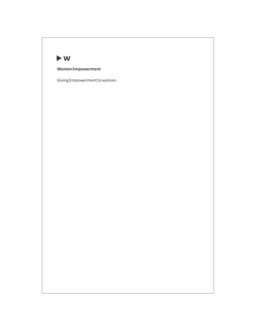

**Women Empowerment** 

Giving Empowerment to women.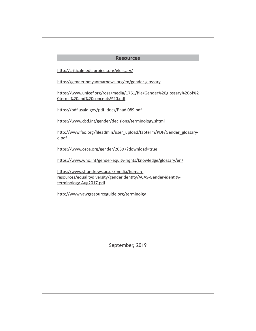# **Resources**

http://criticalmediaproject.org/glossary/

https://genderinmyanmarnews.org/en/gender-glossary

https://www.unicef.org/rosa/media/1761/file/Gender%20glossary%20of%2 Oterms%20and%20concepts%20.pdf

https://pdf.usaid.gov/pdf\_docs/Pnadl089.pdf

https://www.cbd.int/gender/decisions/terminology.shtml

http://www.fao.org/fileadmin/user\_upload/faoterm/PDF/Gender\_glossarye.pdf

https://www.osce.org/gender/26397?download=true

https://www.who.int/gender-equity-rights/knowledge/glossary/en/

https://www.st-andrews.ac.uk/media/humanresources/equalitydiversity/genderidentity/ACAS-Gender-identityterminology-Aug2017.pdf

http://www.vawgresourceguide.org/terminolgy

September, 2019